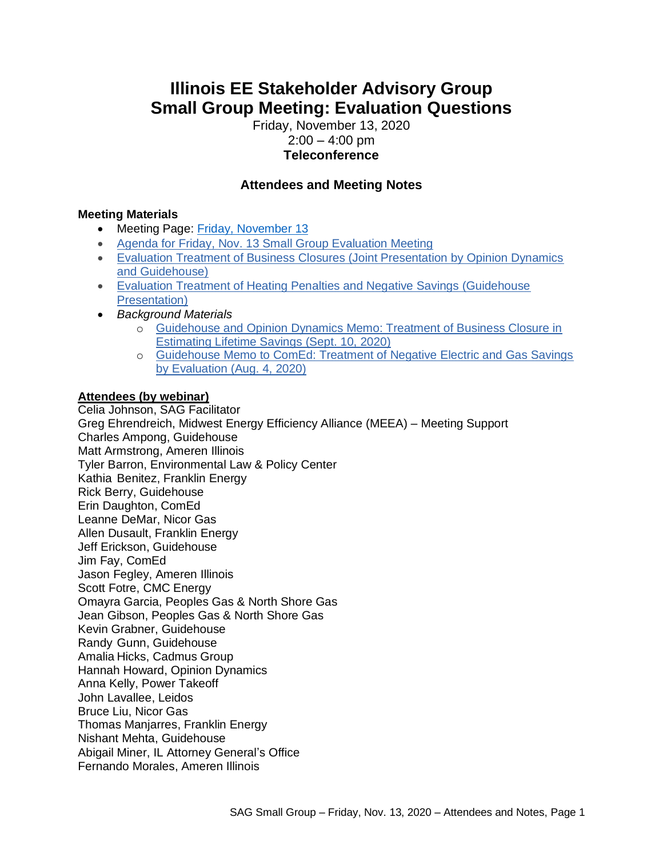# **Illinois EE Stakeholder Advisory Group Small Group Meeting: Evaluation Questions**

Friday, November 13, 2020  $2:00 - 4:00$  pm **Teleconference**

# **Attendees and Meeting Notes**

#### **Meeting Materials**

- Meeting Page: [Friday, November 13](https://www.ilsag.info/event/friday-november-13-small-group-sag-meeting/)
- [Agenda for Friday, Nov. 13 Small Group Evaluation Meeting](https://ilsag.s3.amazonaws.com/SAG_Friday-Nov-13-2020_Meeting_Agenda_Final-1.pdf)
- Evaluation Treatment of Business Closures (Joint Presentation by Opinion Dynamics [and Guidehouse\)](https://ilsag.s3.amazonaws.com/SAG-Business-Closures-2020-11-11-1.pdf)
- [Evaluation Treatment of Heating Penalties and Negative Savings \(Guidehouse](https://ilsag.s3.amazonaws.com/SAG-Heating-Penalties-and-Negative-Savings-2020-11-11.pdf)  [Presentation\)](https://ilsag.s3.amazonaws.com/SAG-Heating-Penalties-and-Negative-Savings-2020-11-11.pdf)
- *Background Materials*
	- o [Guidehouse and Opinion Dynamics Memo: Treatment of Business Closure in](https://ilsag.s3.amazonaws.com/Business-Closure-Memo-2020-09-10.docx)  [Estimating Lifetime Savings \(Sept. 10, 2020\)](https://ilsag.s3.amazonaws.com/Business-Closure-Memo-2020-09-10.docx)
	- o [Guidehouse Memo to ComEd: Treatment of Negative Electric and Gas Savings](https://ilsag.s3.amazonaws.com/Guidehouse-Negative-Savings-Memo-to-ComEd-2020-08-04.docx)  [by Evaluation \(Aug. 4, 2020\)](https://ilsag.s3.amazonaws.com/Guidehouse-Negative-Savings-Memo-to-ComEd-2020-08-04.docx)

### **Attendees (by webinar)**

Celia Johnson, SAG Facilitator Greg Ehrendreich, Midwest Energy Efficiency Alliance (MEEA) – Meeting Support Charles Ampong, Guidehouse Matt Armstrong, Ameren Illinois Tyler Barron, Environmental Law & Policy Center Kathia Benitez, Franklin Energy Rick Berry, Guidehouse Erin Daughton, ComEd Leanne DeMar, Nicor Gas Allen Dusault, Franklin Energy Jeff Erickson, Guidehouse Jim Fay, ComEd Jason Fegley, Ameren Illinois Scott Fotre, CMC Energy Omayra Garcia, Peoples Gas & North Shore Gas Jean Gibson, Peoples Gas & North Shore Gas Kevin Grabner, Guidehouse Randy Gunn, Guidehouse Amalia Hicks, Cadmus Group Hannah Howard, Opinion Dynamics Anna Kelly, Power Takeoff John Lavallee, Leidos Bruce Liu, Nicor Gas Thomas Manjarres, Franklin Energy Nishant Mehta, Guidehouse Abigail Miner, IL Attorney General's Office Fernando Morales, Ameren Illinois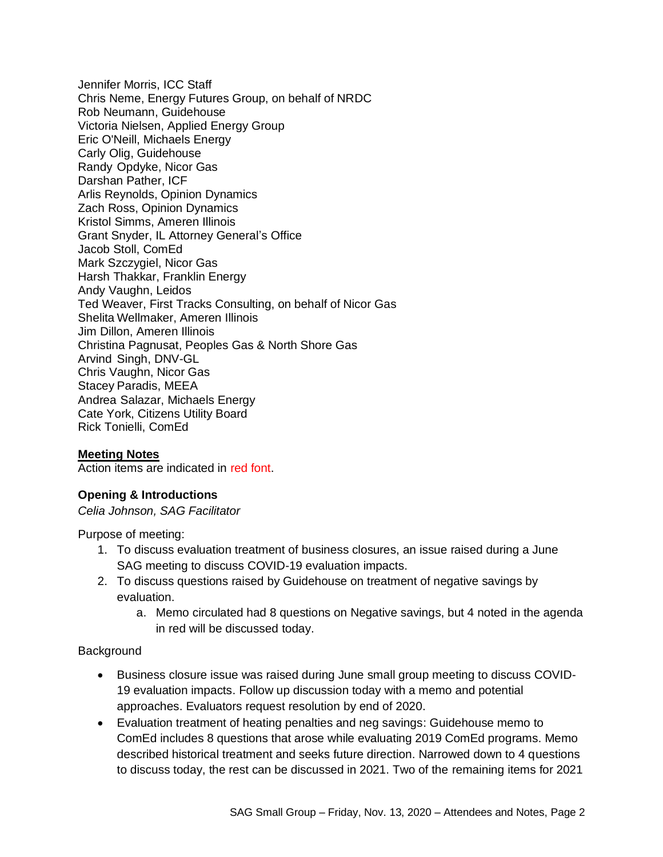Jennifer Morris, ICC Staff Chris Neme, Energy Futures Group, on behalf of NRDC Rob Neumann, Guidehouse Victoria Nielsen, Applied Energy Group Eric O'Neill, Michaels Energy Carly Olig, Guidehouse Randy Opdyke, Nicor Gas Darshan Pather, ICF Arlis Reynolds, Opinion Dynamics Zach Ross, Opinion Dynamics Kristol Simms, Ameren Illinois Grant Snyder, IL Attorney General's Office Jacob Stoll, ComEd Mark Szczygiel, Nicor Gas Harsh Thakkar, Franklin Energy Andy Vaughn, Leidos Ted Weaver, First Tracks Consulting, on behalf of Nicor Gas Shelita Wellmaker, Ameren Illinois Jim Dillon, Ameren Illinois Christina Pagnusat, Peoples Gas & North Shore Gas Arvind Singh, DNV-GL Chris Vaughn, Nicor Gas Stacey Paradis, MEEA Andrea Salazar, Michaels Energy Cate York, Citizens Utility Board Rick Tonielli, ComEd

#### **Meeting Notes**

Action items are indicated in red font.

#### **Opening & Introductions**

*Celia Johnson, SAG Facilitator*

Purpose of meeting:

- 1. To discuss evaluation treatment of business closures, an issue raised during a June SAG meeting to discuss COVID-19 evaluation impacts.
- 2. To discuss questions raised by Guidehouse on treatment of negative savings by evaluation.
	- a. Memo circulated had 8 questions on Negative savings, but 4 noted in the agenda in red will be discussed today.

#### **Background**

- Business closure issue was raised during June small group meeting to discuss COVID-19 evaluation impacts. Follow up discussion today with a memo and potential approaches. Evaluators request resolution by end of 2020.
- Evaluation treatment of heating penalties and neg savings: Guidehouse memo to ComEd includes 8 questions that arose while evaluating 2019 ComEd programs. Memo described historical treatment and seeks future direction. Narrowed down to 4 questions to discuss today, the rest can be discussed in 2021. Two of the remaining items for 2021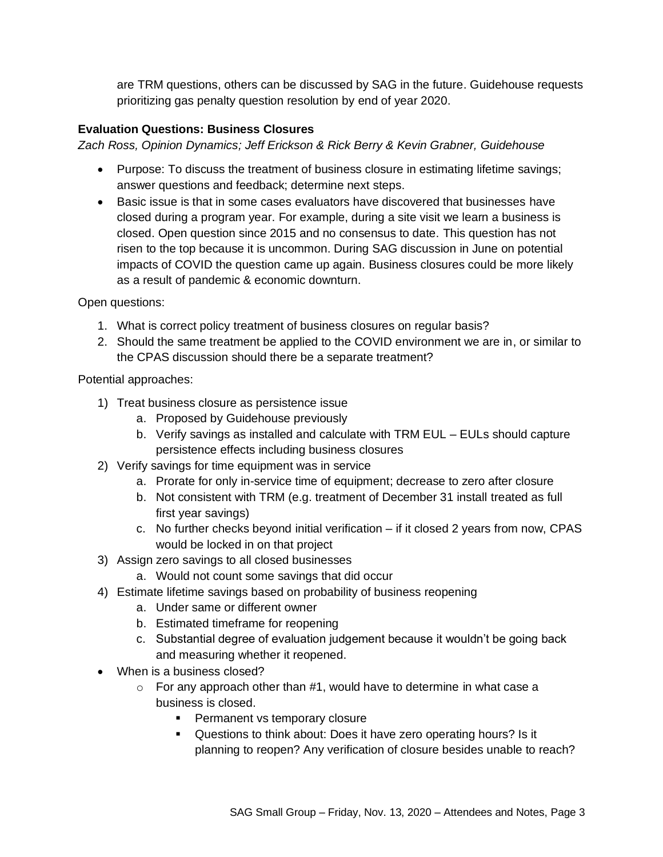are TRM questions, others can be discussed by SAG in the future. Guidehouse requests prioritizing gas penalty question resolution by end of year 2020.

## **Evaluation Questions: Business Closures**

*Zach Ross, Opinion Dynamics; Jeff Erickson & Rick Berry & Kevin Grabner, Guidehouse*

- Purpose: To discuss the treatment of business closure in estimating lifetime savings; answer questions and feedback; determine next steps.
- Basic issue is that in some cases evaluators have discovered that businesses have closed during a program year. For example, during a site visit we learn a business is closed. Open question since 2015 and no consensus to date. This question has not risen to the top because it is uncommon. During SAG discussion in June on potential impacts of COVID the question came up again. Business closures could be more likely as a result of pandemic & economic downturn.

Open questions:

- 1. What is correct policy treatment of business closures on regular basis?
- 2. Should the same treatment be applied to the COVID environment we are in, or similar to the CPAS discussion should there be a separate treatment?

Potential approaches:

- 1) Treat business closure as persistence issue
	- a. Proposed by Guidehouse previously
	- b. Verify savings as installed and calculate with TRM EUL EULs should capture persistence effects including business closures
- 2) Verify savings for time equipment was in service
	- a. Prorate for only in-service time of equipment; decrease to zero after closure
	- b. Not consistent with TRM (e.g. treatment of December 31 install treated as full first year savings)
	- c. No further checks beyond initial verification if it closed 2 years from now, CPAS would be locked in on that project
- 3) Assign zero savings to all closed businesses
	- a. Would not count some savings that did occur
- 4) Estimate lifetime savings based on probability of business reopening
	- a. Under same or different owner
	- b. Estimated timeframe for reopening
	- c. Substantial degree of evaluation judgement because it wouldn't be going back and measuring whether it reopened.
- When is a business closed?
	- $\circ$  For any approach other than #1, would have to determine in what case a business is closed.
		- Permanent vs temporary closure
		- Questions to think about: Does it have zero operating hours? Is it planning to reopen? Any verification of closure besides unable to reach?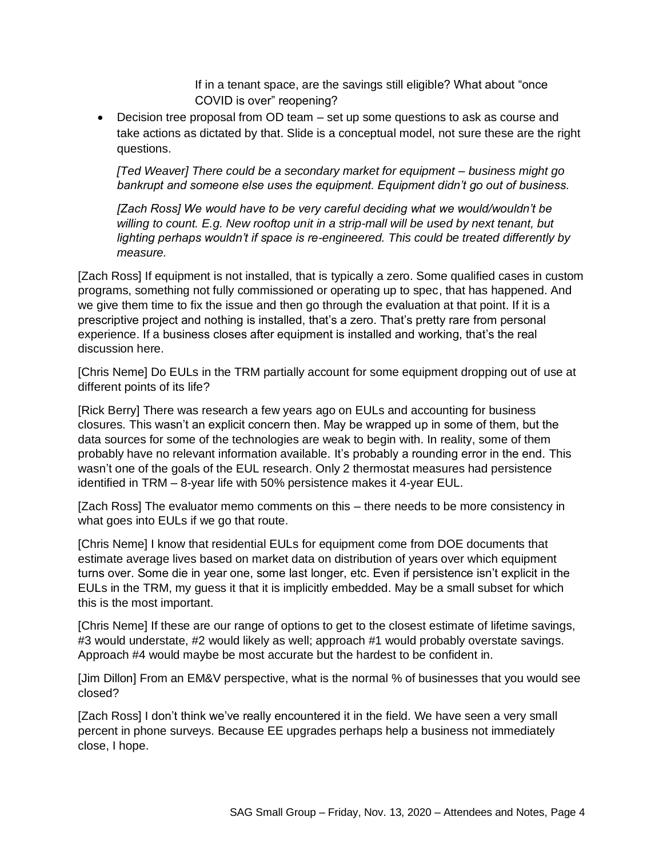If in a tenant space, are the savings still eligible? What about "once COVID is over" reopening?

• Decision tree proposal from OD team – set up some questions to ask as course and take actions as dictated by that. Slide is a conceptual model, not sure these are the right questions.

*[Ted Weaver] There could be a secondary market for equipment – business might go bankrupt and someone else uses the equipment. Equipment didn't go out of business.*

*[Zach Ross] We would have to be very careful deciding what we would/wouldn't be willing to count. E.g. New rooftop unit in a strip-mall will be used by next tenant, but lighting perhaps wouldn't if space is re-engineered. This could be treated differently by measure.*

[Zach Ross] If equipment is not installed, that is typically a zero. Some qualified cases in custom programs, something not fully commissioned or operating up to spec, that has happened. And we give them time to fix the issue and then go through the evaluation at that point. If it is a prescriptive project and nothing is installed, that's a zero. That's pretty rare from personal experience. If a business closes after equipment is installed and working, that's the real discussion here.

[Chris Neme] Do EULs in the TRM partially account for some equipment dropping out of use at different points of its life?

[Rick Berry] There was research a few years ago on EULs and accounting for business closures. This wasn't an explicit concern then. May be wrapped up in some of them, but the data sources for some of the technologies are weak to begin with. In reality, some of them probably have no relevant information available. It's probably a rounding error in the end. This wasn't one of the goals of the EUL research. Only 2 thermostat measures had persistence identified in TRM – 8-year life with 50% persistence makes it 4-year EUL.

[Zach Ross] The evaluator memo comments on this – there needs to be more consistency in what goes into EULs if we go that route.

[Chris Neme] I know that residential EULs for equipment come from DOE documents that estimate average lives based on market data on distribution of years over which equipment turns over. Some die in year one, some last longer, etc. Even if persistence isn't explicit in the EULs in the TRM, my guess it that it is implicitly embedded. May be a small subset for which this is the most important.

[Chris Neme] If these are our range of options to get to the closest estimate of lifetime savings, #3 would understate, #2 would likely as well; approach #1 would probably overstate savings. Approach #4 would maybe be most accurate but the hardest to be confident in.

[Jim Dillon] From an EM&V perspective, what is the normal % of businesses that you would see closed?

[Zach Ross] I don't think we've really encountered it in the field. We have seen a very small percent in phone surveys. Because EE upgrades perhaps help a business not immediately close, I hope.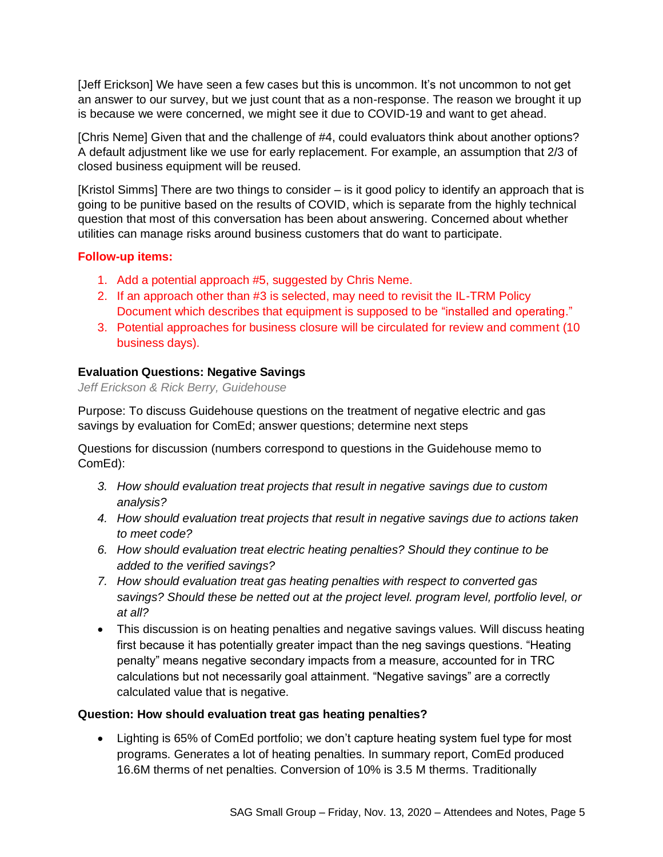[Jeff Erickson] We have seen a few cases but this is uncommon. It's not uncommon to not get an answer to our survey, but we just count that as a non-response. The reason we brought it up is because we were concerned, we might see it due to COVID-19 and want to get ahead.

[Chris Neme] Given that and the challenge of #4, could evaluators think about another options? A default adjustment like we use for early replacement. For example, an assumption that 2/3 of closed business equipment will be reused.

[Kristol Simms] There are two things to consider – is it good policy to identify an approach that is going to be punitive based on the results of COVID, which is separate from the highly technical question that most of this conversation has been about answering. Concerned about whether utilities can manage risks around business customers that do want to participate.

### **Follow-up items:**

- 1. Add a potential approach #5, suggested by Chris Neme.
- 2. If an approach other than #3 is selected, may need to revisit the IL-TRM Policy Document which describes that equipment is supposed to be "installed and operating."
- 3. Potential approaches for business closure will be circulated for review and comment (10 business days).

## **Evaluation Questions: Negative Savings**

*Jeff Erickson & Rick Berry, Guidehouse*

Purpose: To discuss Guidehouse questions on the treatment of negative electric and gas savings by evaluation for ComEd; answer questions; determine next steps

Questions for discussion (numbers correspond to questions in the Guidehouse memo to ComEd):

- *3. How should evaluation treat projects that result in negative savings due to custom analysis?*
- *4. How should evaluation treat projects that result in negative savings due to actions taken to meet code?*
- *6. How should evaluation treat electric heating penalties? Should they continue to be added to the verified savings?*
- *7. How should evaluation treat gas heating penalties with respect to converted gas savings? Should these be netted out at the project level. program level, portfolio level, or at all?*
- This discussion is on heating penalties and negative savings values. Will discuss heating first because it has potentially greater impact than the neg savings questions. "Heating penalty" means negative secondary impacts from a measure, accounted for in TRC calculations but not necessarily goal attainment. "Negative savings" are a correctly calculated value that is negative.

### **Question: How should evaluation treat gas heating penalties?**

• Lighting is 65% of ComEd portfolio; we don't capture heating system fuel type for most programs. Generates a lot of heating penalties. In summary report, ComEd produced 16.6M therms of net penalties. Conversion of 10% is 3.5 M therms. Traditionally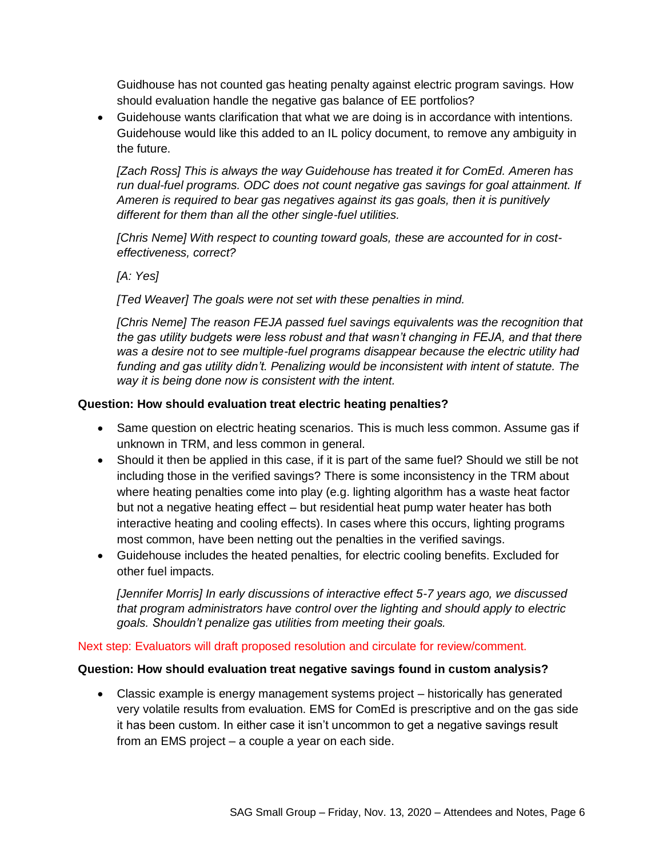Guidhouse has not counted gas heating penalty against electric program savings. How should evaluation handle the negative gas balance of EE portfolios?

• Guidehouse wants clarification that what we are doing is in accordance with intentions. Guidehouse would like this added to an IL policy document, to remove any ambiguity in the future.

*[Zach Ross] This is always the way Guidehouse has treated it for ComEd. Ameren has run dual-fuel programs. ODC does not count negative gas savings for goal attainment. If Ameren is required to bear gas negatives against its gas goals, then it is punitively different for them than all the other single-fuel utilities.*

*[Chris Neme] With respect to counting toward goals, these are accounted for in costeffectiveness, correct?* 

*[A: Yes]*

*[Ted Weaver] The goals were not set with these penalties in mind.* 

*[Chris Neme] The reason FEJA passed fuel savings equivalents was the recognition that the gas utility budgets were less robust and that wasn't changing in FEJA, and that there*  was a desire not to see multiple-fuel programs disappear because the electric *utility* had *funding and gas utility didn't. Penalizing would be inconsistent with intent of statute. The way it is being done now is consistent with the intent.*

## **Question: How should evaluation treat electric heating penalties?**

- Same question on electric heating scenarios. This is much less common. Assume gas if unknown in TRM, and less common in general.
- Should it then be applied in this case, if it is part of the same fuel? Should we still be not including those in the verified savings? There is some inconsistency in the TRM about where heating penalties come into play (e.g. lighting algorithm has a waste heat factor but not a negative heating effect – but residential heat pump water heater has both interactive heating and cooling effects). In cases where this occurs, lighting programs most common, have been netting out the penalties in the verified savings.
- Guidehouse includes the heated penalties, for electric cooling benefits. Excluded for other fuel impacts.

*[Jennifer Morris] In early discussions of interactive effect 5-7 years ago, we discussed that program administrators have control over the lighting and should apply to electric goals. Shouldn't penalize gas utilities from meeting their goals.*

### Next step: Evaluators will draft proposed resolution and circulate for review/comment.

### **Question: How should evaluation treat negative savings found in custom analysis?**

• Classic example is energy management systems project – historically has generated very volatile results from evaluation. EMS for ComEd is prescriptive and on the gas side it has been custom. In either case it isn't uncommon to get a negative savings result from an EMS project – a couple a year on each side.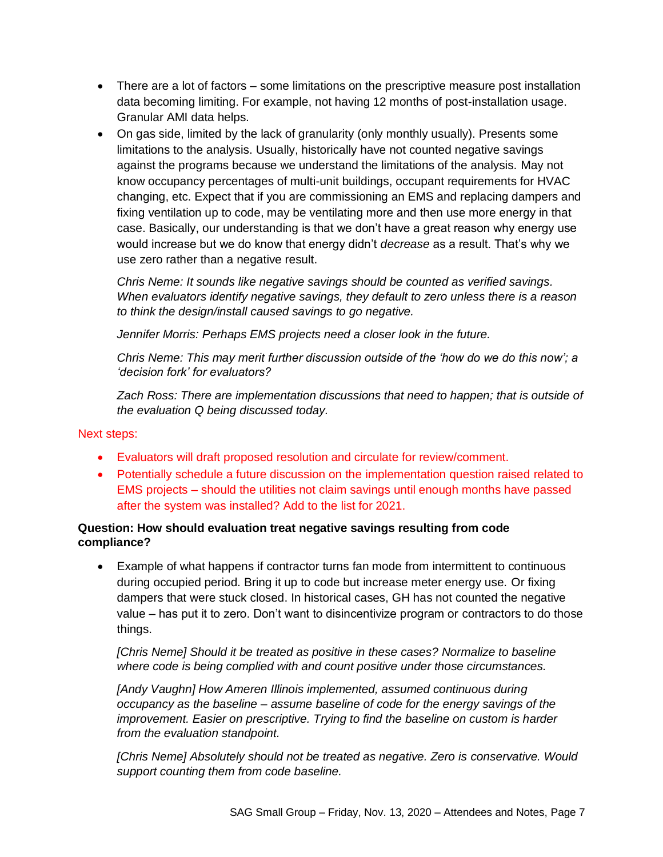- There are a lot of factors some limitations on the prescriptive measure post installation data becoming limiting. For example, not having 12 months of post-installation usage. Granular AMI data helps.
- On gas side, limited by the lack of granularity (only monthly usually). Presents some limitations to the analysis. Usually, historically have not counted negative savings against the programs because we understand the limitations of the analysis. May not know occupancy percentages of multi-unit buildings, occupant requirements for HVAC changing, etc. Expect that if you are commissioning an EMS and replacing dampers and fixing ventilation up to code, may be ventilating more and then use more energy in that case. Basically, our understanding is that we don't have a great reason why energy use would increase but we do know that energy didn't *decrease* as a result. That's why we use zero rather than a negative result.

*Chris Neme: It sounds like negative savings should be counted as verified savings. When evaluators identify negative savings, they default to zero unless there is a reason to think the design/install caused savings to go negative.*

*Jennifer Morris: Perhaps EMS projects need a closer look in the future.*

*Chris Neme: This may merit further discussion outside of the 'how do we do this now'; a 'decision fork' for evaluators?*

*Zach Ross: There are implementation discussions that need to happen; that is outside of the evaluation Q being discussed today.*

Next steps:

- Evaluators will draft proposed resolution and circulate for review/comment.
- Potentially schedule a future discussion on the implementation question raised related to EMS projects – should the utilities not claim savings until enough months have passed after the system was installed? Add to the list for 2021.

# **Question: How should evaluation treat negative savings resulting from code compliance?**

• Example of what happens if contractor turns fan mode from intermittent to continuous during occupied period. Bring it up to code but increase meter energy use. Or fixing dampers that were stuck closed. In historical cases, GH has not counted the negative value – has put it to zero. Don't want to disincentivize program or contractors to do those things.

*[Chris Neme] Should it be treated as positive in these cases? Normalize to baseline where code is being complied with and count positive under those circumstances.*

*[Andy Vaughn] How Ameren Illinois implemented, assumed continuous during occupancy as the baseline – assume baseline of code for the energy savings of the improvement. Easier on prescriptive. Trying to find the baseline on custom is harder from the evaluation standpoint.*

*[Chris Neme] Absolutely should not be treated as negative. Zero is conservative. Would support counting them from code baseline.*